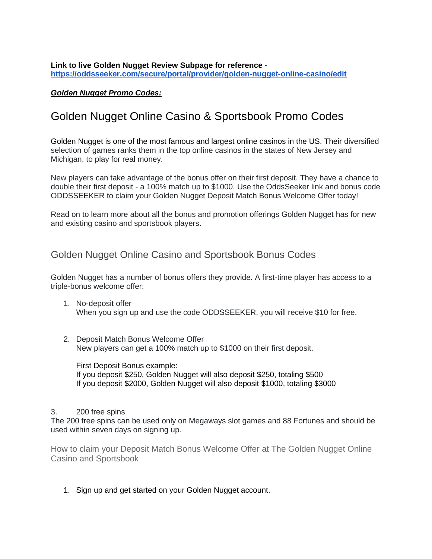**Link to live Golden Nugget Review Subpage for reference <https://oddsseeker.com/secure/portal/provider/golden-nugget-online-casino/edit>**

#### *Golden Nugget Promo Codes:*

# Golden Nugget Online Casino & Sportsbook Promo Codes

Golden Nugget is one of the most famous and largest online casinos in the US. Their diversified selection of games ranks them in the top online casinos in the states of New Jersey and Michigan, to play for real money.

New players can take advantage of the bonus offer on their first deposit. They have a chance to double their first deposit - a 100% match up to \$1000. Use the OddsSeeker link and bonus code ODDSSEEKER to claim your Golden Nugget Deposit Match Bonus Welcome Offer today!

Read on to learn more about all the bonus and promotion offerings Golden Nugget has for new and existing casino and sportsbook players.

### Golden Nugget Online Casino and Sportsbook Bonus Codes

Golden Nugget has a number of bonus offers they provide. A first-time player has access to a triple-bonus welcome offer:

- 1. No-deposit offer When you sign up and use the code ODDSSEEKER, you will receive \$10 for free.
- 2. Deposit Match Bonus Welcome Offer New players can get a 100% match up to \$1000 on their first deposit.

First Deposit Bonus example: If you deposit \$250, Golden Nugget will also deposit \$250, totaling \$500 If you deposit \$2000, Golden Nugget will also deposit \$1000, totaling \$3000

#### 3. 200 free spins

The 200 free spins can be used only on Megaways slot games and 88 Fortunes and should be used within seven days on signing up.

How to claim your Deposit Match Bonus Welcome Offer at The Golden Nugget Online Casino and Sportsbook

1. Sign up and get started on your Golden Nugget account.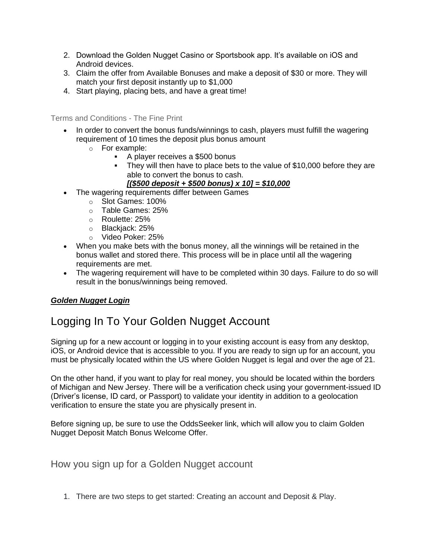- 2. Download the Golden Nugget Casino or Sportsbook app. It's available on iOS and Android devices.
- 3. Claim the offer from Available Bonuses and make a deposit of \$30 or more. They will match your first deposit instantly up to \$1,000
- 4. Start playing, placing bets, and have a great time!

Terms and Conditions - The Fine Print

- In order to convert the bonus funds/winnings to cash, players must fulfill the wagering requirement of 10 times the deposit plus bonus amount
	- o For example:
		- A player receives a \$500 bonus
		- They will then have to place bets to the value of \$10,000 before they are able to convert the bonus to cash.

*[(\$500 deposit + \$500 bonus) x 10] = \$10,000*

- The wagering requirements differ between Games
	- o Slot Games: 100%
	- o Table Games: 25%
	- o Roulette: 25%
	- o Blackjack: 25%
	- o Video Poker: 25%
- When you make bets with the bonus money, all the winnings will be retained in the bonus wallet and stored there. This process will be in place until all the wagering requirements are met.
- The wagering requirement will have to be completed within 30 days. Failure to do so will result in the bonus/winnings being removed.

### *Golden Nugget Login*

## Logging In To Your Golden Nugget Account

Signing up for a new account or logging in to your existing account is easy from any desktop, iOS, or Android device that is accessible to you. If you are ready to sign up for an account, you must be physically located within the US where Golden Nugget is legal and over the age of 21.

On the other hand, if you want to play for real money, you should be located within the borders of Michigan and New Jersey. There will be a verification check using your government-issued ID (Driver's license, ID card, or Passport) to validate your identity in addition to a geolocation verification to ensure the state you are physically present in.

Before signing up, be sure to use the OddsSeeker link, which will allow you to claim Golden Nugget Deposit Match Bonus Welcome Offer.

How you sign up for a Golden Nugget account

1. There are two steps to get started: Creating an account and Deposit & Play.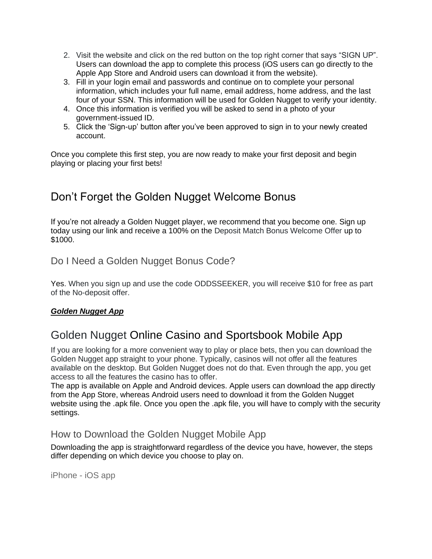- 2. Visit the website and click on the red button on the top right corner that says "SIGN UP". Users can download the app to complete this process (iOS users can go directly to the Apple App Store and Android users can download it from the website).
- 3. Fill in your login email and passwords and continue on to complete your personal information, which includes your full name, email address, home address, and the last four of your SSN. This information will be used for Golden Nugget to verify your identity.
- 4. Once this information is verified you will be asked to send in a photo of your government-issued ID.
- 5. Click the 'Sign-up' button after you've been approved to sign in to your newly created account.

Once you complete this first step, you are now ready to make your first deposit and begin playing or placing your first bets!

# Don't Forget the Golden Nugget Welcome Bonus

If you're not already a Golden Nugget player, we recommend that you become one. Sign up today using our link and receive a 100% on the Deposit Match Bonus Welcome Offer up to \$1000.

Do I Need a Golden Nugget Bonus Code?

Yes. When you sign up and use the code ODDSSEEKER, you will receive \$10 for free as part of the No-deposit offer.

### *Golden Nugget App*

# Golden Nugget Online Casino and Sportsbook Mobile App

If you are looking for a more convenient way to play or place bets, then you can download the Golden Nugget app straight to your phone. Typically, casinos will not offer all the features available on the desktop. But Golden Nugget does not do that. Even through the app, you get access to all the features the casino has to offer.

The app is available on Apple and Android devices. Apple users can download the app directly from the App Store, whereas Android users need to download it from the Golden Nugget website using the .apk file. Once you open the .apk file, you will have to comply with the security settings.

## How to Download the Golden Nugget Mobile App

Downloading the app is straightforward regardless of the device you have, however, the steps differ depending on which device you choose to play on.

iPhone - iOS app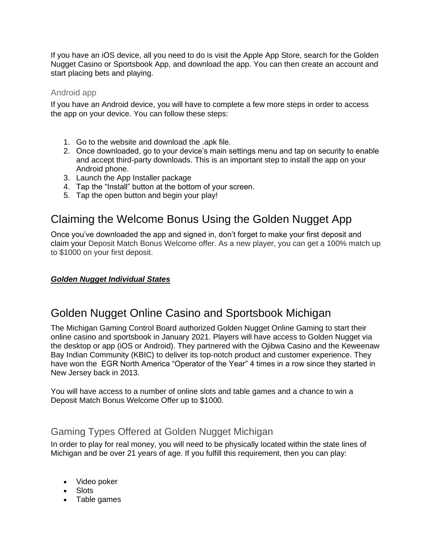If you have an iOS device, all you need to do is visit the Apple App Store, search for the Golden Nugget Casino or Sportsbook App, and download the app. You can then create an account and start placing bets and playing.

#### Android app

If you have an Android device, you will have to complete a few more steps in order to access the app on your device. You can follow these steps:

- 1. Go to the website and download the .apk file.
- 2. Once downloaded, go to your device's main settings menu and tap on security to enable and accept third-party downloads. This is an important step to install the app on your Android phone.
- 3. Launch the App Installer package
- 4. Tap the "Install" button at the bottom of your screen.
- 5. Tap the open button and begin your play!

# Claiming the Welcome Bonus Using the Golden Nugget App

Once you've downloaded the app and signed in, don't forget to make your first deposit and claim your Deposit Match Bonus Welcome offer. As a new player, you can get a 100% match up to \$1000 on your first deposit.

### *Golden Nugget Individual States*

## Golden Nugget Online Casino and Sportsbook Michigan

The Michigan Gaming Control Board authorized Golden Nugget Online Gaming to start their online casino and sportsbook in January 2021. Players will have access to Golden Nugget via the desktop or app (iOS or Android). They partnered with the Ojibwa Casino and the Keweenaw Bay Indian Community (KBIC) to deliver its top-notch product and customer experience. They have won the EGR North America "Operator of the Year" 4 times in a row since they started in New Jersey back in 2013.

You will have access to a number of online slots and table games and a chance to win a Deposit Match Bonus Welcome Offer up to \$1000.

### Gaming Types Offered at Golden Nugget Michigan

In order to play for real money, you will need to be physically located within the state lines of Michigan and be over 21 years of age. If you fulfill this requirement, then you can play:

- Video poker
- Slots
- Table games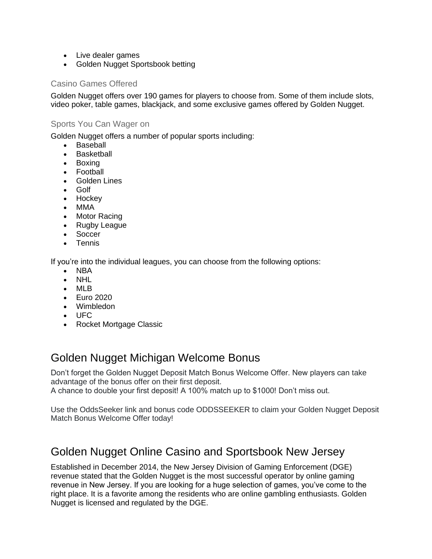- Live dealer games
- Golden Nugget Sportsbook betting

### Casino Games Offered

Golden Nugget offers over 190 games for players to choose from. Some of them include slots, video poker, table games, blackjack, and some exclusive games offered by Golden Nugget.

### Sports You Can Wager on

Golden Nugget offers a number of popular sports including:

- Baseball
- **Basketball**
- Boxing
- Football
- Golden Lines
- Golf
- Hockey
- MMA
- Motor Racing
- Rugby League
- Soccer
- Tennis

If you're into the individual leagues, you can choose from the following options:

- NBA
- NHL
- MLB
- Euro 2020
- Wimbledon
- UFC
- Rocket Mortgage Classic

## Golden Nugget Michigan Welcome Bonus

Don't forget the Golden Nugget Deposit Match Bonus Welcome Offer. New players can take advantage of the bonus offer on their first deposit. A chance to double your first deposit! A 100% match up to \$1000! Don't miss out.

Use the OddsSeeker link and bonus code ODDSSEEKER to claim your Golden Nugget Deposit Match Bonus Welcome Offer today!

## Golden Nugget Online Casino and Sportsbook New Jersey

Established in December 2014, the New Jersey Division of Gaming Enforcement (DGE) revenue stated that the Golden Nugget is the most successful operator by online gaming revenue in New Jersey. If you are looking for a huge selection of games, you've come to the right place. It is a favorite among the residents who are online gambling enthusiasts. Golden Nugget is licensed and regulated by the DGE.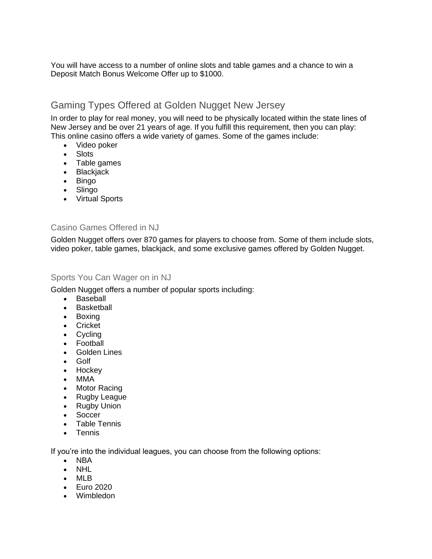You will have access to a number of online slots and table games and a chance to win a Deposit Match Bonus Welcome Offer up to \$1000.

## Gaming Types Offered at Golden Nugget New Jersey

In order to play for real money, you will need to be physically located within the state lines of New Jersey and be over 21 years of age. If you fulfill this requirement, then you can play: This online casino offers a wide variety of games. Some of the games include:

- Video poker
- Slots
- Table games
- Blackjack
- Bingo
- Slingo
- Virtual Sports

#### Casino Games Offered in NJ

Golden Nugget offers over 870 games for players to choose from. Some of them include slots, video poker, table games, blackjack, and some exclusive games offered by Golden Nugget.

### Sports You Can Wager on in NJ

Golden Nugget offers a number of popular sports including:

- Baseball
- Basketball
- Boxing
- Cricket
- Cycling
- Football
- Golden Lines
- Golf
- Hockey
- MMA
- Motor Racing
- Rugby League
- Rugby Union
- **Soccer**
- Table Tennis
- Tennis

If you're into the individual leagues, you can choose from the following options:

- NBA
- NHL
- MLB
- Euro 2020
- Wimbledon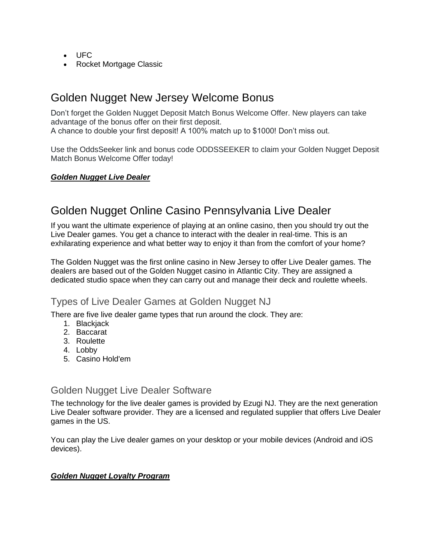- UFC
- Rocket Mortgage Classic

## Golden Nugget New Jersey Welcome Bonus

Don't forget the Golden Nugget Deposit Match Bonus Welcome Offer. New players can take advantage of the bonus offer on their first deposit. A chance to double your first deposit! A 100% match up to \$1000! Don't miss out.

Use the OddsSeeker link and bonus code ODDSSEEKER to claim your Golden Nugget Deposit Match Bonus Welcome Offer today!

### *Golden Nugget Live Dealer*

# Golden Nugget Online Casino Pennsylvania Live Dealer

If you want the ultimate experience of playing at an online casino, then you should try out the Live Dealer games. You get a chance to interact with the dealer in real-time. This is an exhilarating experience and what better way to enjoy it than from the comfort of your home?

The Golden Nugget was the first online casino in New Jersey to offer Live Dealer games. The dealers are based out of the Golden Nugget casino in Atlantic City. They are assigned a dedicated studio space when they can carry out and manage their deck and roulette wheels.

### Types of Live Dealer Games at Golden Nugget NJ

There are five live dealer game types that run around the clock. They are:

- 1. Blackjack
- 2. Baccarat
- 3. Roulette
- 4. Lobby
- 5. Casino Hold'em

### Golden Nugget Live Dealer Software

The technology for the live dealer games is provided by Ezugi NJ. They are the next generation Live Dealer software provider. They are a licensed and regulated supplier that offers Live Dealer games in the US.

You can play the Live dealer games on your desktop or your mobile devices (Android and iOS devices).

#### *Golden Nugget Loyalty Program*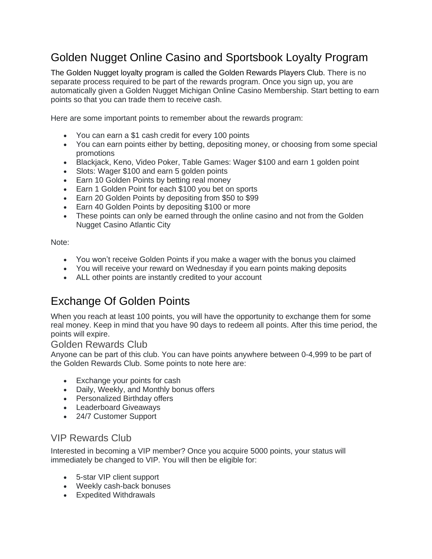# Golden Nugget Online Casino and Sportsbook Loyalty Program

The Golden Nugget loyalty program is called the Golden Rewards Players Club. There is no separate process required to be part of the rewards program. Once you sign up, you are automatically given a Golden Nugget Michigan Online Casino Membership. Start betting to earn points so that you can trade them to receive cash.

Here are some important points to remember about the rewards program:

- You can earn a \$1 cash credit for every 100 points
- You can earn points either by betting, depositing money, or choosing from some special promotions
- Blackjack, Keno, Video Poker, Table Games: Wager \$100 and earn 1 golden point
- Slots: Wager \$100 and earn 5 golden points
- Earn 10 Golden Points by betting real money
- Earn 1 Golden Point for each \$100 you bet on sports
- Earn 20 Golden Points by depositing from \$50 to \$99
- Earn 40 Golden Points by depositing \$100 or more
- These points can only be earned through the online casino and not from the Golden Nugget Casino Atlantic City

Note:

- You won't receive Golden Points if you make a wager with the bonus you claimed
- You will receive your reward on Wednesday if you earn points making deposits
- ALL other points are instantly credited to your account

# Exchange Of Golden Points

When you reach at least 100 points, you will have the opportunity to exchange them for some real money. Keep in mind that you have 90 days to redeem all points. After this time period, the points will expire.

### Golden Rewards Club

Anyone can be part of this club. You can have points anywhere between 0-4,999 to be part of the Golden Rewards Club. Some points to note here are:

- Exchange your points for cash
- Daily, Weekly, and Monthly bonus offers
- Personalized Birthday offers
- Leaderboard Giveaways
- 24/7 Customer Support

### VIP Rewards Club

Interested in becoming a VIP member? Once you acquire 5000 points, your status will immediately be changed to VIP. You will then be eligible for:

- 5-star VIP client support
- Weekly cash-back bonuses
- Expedited Withdrawals